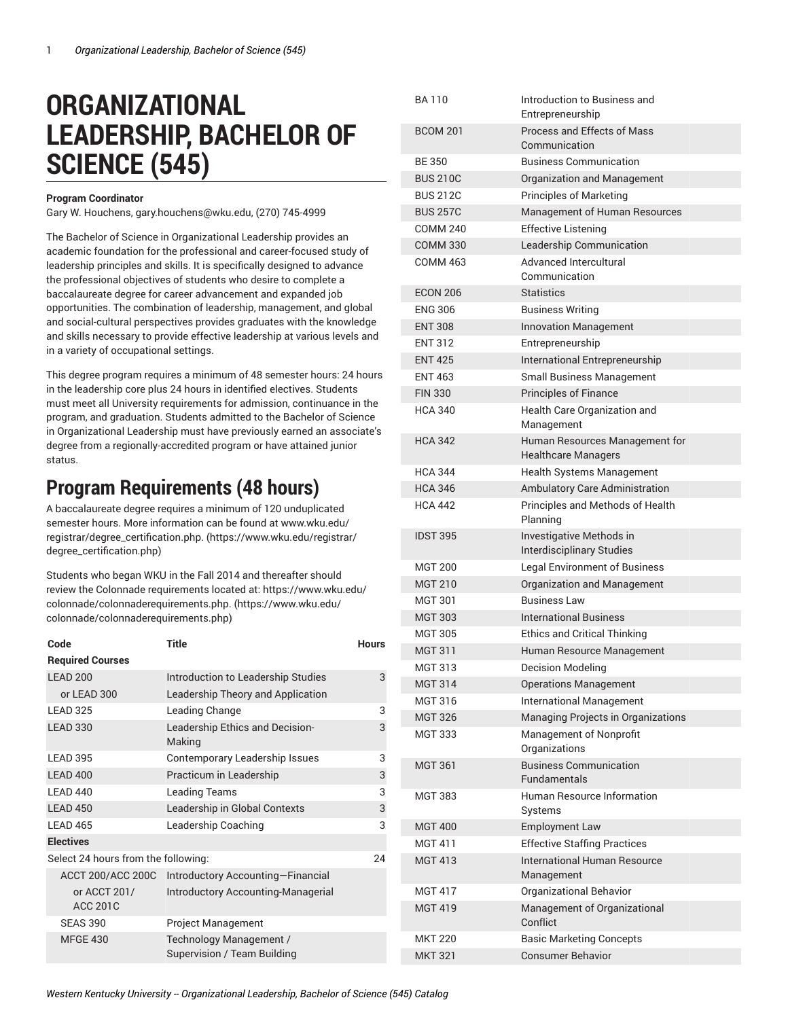## **ORGANIZATIONAL LEADERSHIP, BACHELOR OF SCIENCE (545)**

## **Program Coordinator**

Gary W. Houchens, [gary.houchens@wku.edu](mailto:gary.houchens@wku.edu), (270) 745-4999

The Bachelor of Science in Organizational Leadership provides an academic foundation for the professional and career-focused study of leadership principles and skills. It is specifically designed to advance the professional objectives of students who desire to complete a baccalaureate degree for career advancement and expanded job opportunities. The combination of leadership, management, and global and social-cultural perspectives provides graduates with the knowledge and skills necessary to provide effective leadership at various levels and in a variety of occupational settings.

This degree program requires a minimum of 48 semester hours: 24 hours in the leadership core plus 24 hours in identified electives. Students must meet all University requirements for admission, continuance in the program, and graduation. Students admitted to the Bachelor of Science in Organizational Leadership must have previously earned an associate's degree from a regionally-accredited program or have attained junior status.

## **Program Requirements (48 hours)**

A baccalaureate degree requires a minimum of 120 unduplicated semester hours. More information can be found at [www.wku.edu/](https://www.wku.edu/registrar/degree_certification.php) [registrar/degree\\_certification.php.](https://www.wku.edu/registrar/degree_certification.php) [\(https://www.wku.edu/registrar/](https://www.wku.edu/registrar/degree_certification.php) [degree\\_certification.php\)](https://www.wku.edu/registrar/degree_certification.php)

Students who began WKU in the Fall 2014 and thereafter should review the Colonnade requirements located at: [https://www.wku.edu/](https://www.wku.edu/colonnade/colonnaderequirements.php) [colonnade/colonnaderequirements.php.](https://www.wku.edu/colonnade/colonnaderequirements.php) ([https://www.wku.edu/](https://www.wku.edu/colonnade/colonnaderequirements.php) [colonnade/colonnaderequirements.php\)](https://www.wku.edu/colonnade/colonnaderequirements.php)

| Code                                | <b>Title</b>                                           | <b>Hours</b> |
|-------------------------------------|--------------------------------------------------------|--------------|
| <b>Required Courses</b>             |                                                        |              |
| LEAD <sub>200</sub>                 | Introduction to Leadership Studies                     | 3            |
| or LEAD 300                         | Leadership Theory and Application                      |              |
| <b>IFAD 325</b>                     | Leading Change                                         | 3            |
| <b>LEAD 330</b>                     | Leadership Ethics and Decision-<br>Making              | 3            |
| <b>LEAD 395</b>                     | Contemporary Leadership Issues                         | 3            |
| <b>LEAD 400</b>                     | Practicum in Leadership                                | 3            |
| LEAD 440                            | Leading Teams                                          | 3            |
| <b>LEAD 450</b>                     | Leadership in Global Contexts                          | 3            |
| LEAD 465                            | Leadership Coaching                                    | 3            |
| <b>Electives</b>                    |                                                        |              |
| Select 24 hours from the following: |                                                        | 24           |
| ACCT 200/ACC 200C                   | Introductory Accounting-Financial                      |              |
| or ACCT 201/<br><b>ACC 201C</b>     | Introductory Accounting-Managerial                     |              |
| <b>SEAS 390</b>                     | <b>Project Management</b>                              |              |
| <b>MFGE 430</b>                     | Technology Management /<br>Supervision / Team Building |              |

| <b>BA110</b>    | Introduction to Business and                         |
|-----------------|------------------------------------------------------|
| <b>BCOM 201</b> | Entrepreneurship<br>Process and Effects of Mass      |
|                 | Communication                                        |
| <b>BE350</b>    | <b>Business Communication</b>                        |
| <b>BUS 210C</b> | Organization and Management                          |
| <b>BUS 212C</b> | <b>Principles of Marketing</b>                       |
| <b>BUS 257C</b> | Management of Human Resources                        |
| COMM 240        | <b>Effective Listening</b>                           |
| <b>COMM 330</b> | Leadership Communication                             |
| <b>COMM 463</b> | Advanced Intercultural                               |
|                 | Communication                                        |
| <b>ECON 206</b> | <b>Statistics</b>                                    |
| <b>ENG 306</b>  | <b>Business Writing</b>                              |
| <b>ENT 308</b>  | <b>Innovation Management</b>                         |
| <b>ENT 312</b>  | Entrepreneurship                                     |
| <b>ENT 425</b>  | International Entrepreneurship                       |
| <b>FNT 463</b>  | <b>Small Business Management</b>                     |
| <b>FIN 330</b>  | <b>Principles of Finance</b>                         |
| <b>HCA 340</b>  | Health Care Organization and                         |
|                 | Management                                           |
| <b>HCA 342</b>  | Human Resources Management for                       |
|                 | <b>Healthcare Managers</b>                           |
| <b>HCA 344</b>  | Health Systems Management                            |
| <b>HCA 346</b>  | <b>Ambulatory Care Administration</b>                |
| <b>HCA 442</b>  | Principles and Methods of Health<br>Planning         |
| <b>IDST 395</b> | Investigative Methods in                             |
|                 | <b>Interdisciplinary Studies</b>                     |
| <b>MGT 200</b>  | <b>Legal Environment of Business</b>                 |
| <b>MGT 210</b>  | Organization and Management                          |
| MGT 301         | <b>Business Law</b>                                  |
| <b>MGT 303</b>  | <b>International Business</b>                        |
| <b>MGT 305</b>  | <b>Ethics and Critical Thinking</b>                  |
| <b>MGT 311</b>  | Human Resource Management                            |
| MGT 313         | <b>Decision Modeling</b>                             |
| <b>MGT 314</b>  | <b>Operations Management</b>                         |
| MGT 316         | <b>International Management</b>                      |
| <b>MGT 326</b>  | Managing Projects in Organizations                   |
| <b>MGT 333</b>  | Management of Nonprofit<br>Organizations             |
| <b>MGT 361</b>  | <b>Business Communication</b><br><b>Fundamentals</b> |
| MGT 383         | Human Resource Information<br>Systems                |
| <b>MGT 400</b>  | <b>Employment Law</b>                                |
| MGT 411         | <b>Effective Staffing Practices</b>                  |
| <b>MGT 413</b>  | International Human Resource<br>Management           |
| <b>MGT 417</b>  | Organizational Behavior                              |
| <b>MGT 419</b>  | Management of Organizational<br>Conflict             |
| <b>MKT 220</b>  | <b>Basic Marketing Concepts</b>                      |
| <b>MKT 321</b>  | <b>Consumer Behavior</b>                             |
|                 |                                                      |